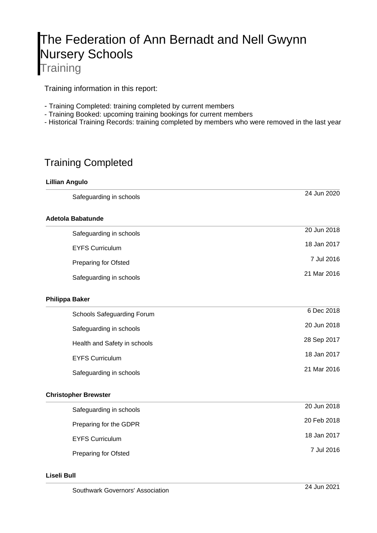# The Federation of Ann Bernadt and Nell Gwynn Nursery Schools **Training**

Training information in this report:

- Training Completed: training completed by current members
- Training Booked: upcoming training bookings for current members
- Historical Training Records: training completed by members who were removed in the last year

# Training Completed

### **Lillian Angulo**

| Safeguarding in schools      | 24 Jun 2020 |
|------------------------------|-------------|
| Adetola Babatunde            |             |
| Safeguarding in schools      | 20 Jun 2018 |
| <b>EYFS Curriculum</b>       | 18 Jan 2017 |
| <b>Preparing for Ofsted</b>  | 7 Jul 2016  |
| Safeguarding in schools      | 21 Mar 2016 |
| <b>Philippa Baker</b>        |             |
| Schools Safeguarding Forum   | 6 Dec 2018  |
| Safeguarding in schools      | 20 Jun 2018 |
| Health and Safety in schools | 28 Sep 2017 |
| <b>EYFS Curriculum</b>       | 18 Jan 2017 |
| Safeguarding in schools      | 21 Mar 2016 |
| <b>Christopher Brewster</b>  |             |
| Safeguarding in schools      | 20 Jun 2018 |
| Preparing for the GDPR       | 20 Feb 2018 |
| <b>EYFS Curriculum</b>       | 18 Jan 2017 |
| <b>Preparing for Ofsted</b>  | 7 Jul 2016  |

#### **Liseli Bull**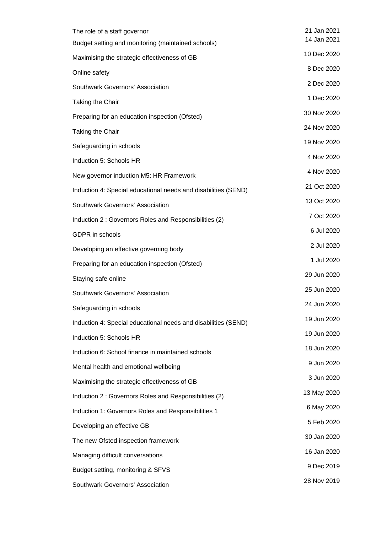| The role of a staff governor<br>Budget setting and monitoring (maintained schools) | 21 Jan 2021<br>14 Jan 2021 |
|------------------------------------------------------------------------------------|----------------------------|
|                                                                                    | 10 Dec 2020                |
| Maximising the strategic effectiveness of GB                                       | 8 Dec 2020                 |
| Online safety                                                                      | 2 Dec 2020                 |
| Southwark Governors' Association                                                   | 1 Dec 2020                 |
| Taking the Chair                                                                   |                            |
| Preparing for an education inspection (Ofsted)                                     | 30 Nov 2020                |
| Taking the Chair                                                                   | 24 Nov 2020                |
| Safeguarding in schools                                                            | 19 Nov 2020                |
| Induction 5: Schools HR                                                            | 4 Nov 2020                 |
| New governor induction M5: HR Framework                                            | 4 Nov 2020                 |
| Induction 4: Special educational needs and disabilities (SEND)                     | 21 Oct 2020                |
| Southwark Governors' Association                                                   | 13 Oct 2020                |
| Induction 2 : Governors Roles and Responsibilities (2)                             | 7 Oct 2020                 |
| GDPR in schools                                                                    | 6 Jul 2020                 |
| Developing an effective governing body                                             | 2 Jul 2020                 |
| Preparing for an education inspection (Ofsted)                                     | 1 Jul 2020                 |
| Staying safe online                                                                | 29 Jun 2020                |
| Southwark Governors' Association                                                   | 25 Jun 2020                |
| Safeguarding in schools                                                            | 24 Jun 2020                |
| Induction 4: Special educational needs and disabilities (SEND)                     | 19 Jun 2020                |
| Induction 5: Schools HR                                                            | 19 Jun 2020                |
| Induction 6: School finance in maintained schools                                  | 18 Jun 2020                |
| Mental health and emotional wellbeing                                              | 9 Jun 2020                 |
| Maximising the strategic effectiveness of GB                                       | 3 Jun 2020                 |
| Induction 2: Governors Roles and Responsibilities (2)                              | 13 May 2020                |
| Induction 1: Governors Roles and Responsibilities 1                                | 6 May 2020                 |
| Developing an effective GB                                                         | 5 Feb 2020                 |
| The new Ofsted inspection framework                                                | 30 Jan 2020                |
| Managing difficult conversations                                                   | 16 Jan 2020                |
| Budget setting, monitoring & SFVS                                                  | 9 Dec 2019                 |
| Southwark Governors' Association                                                   | 28 Nov 2019                |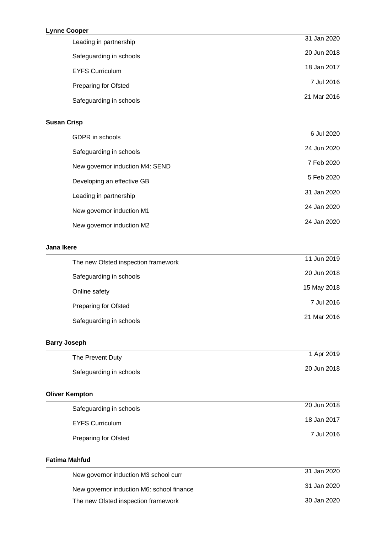### **Lynne Cooper**

| 31 Jan 2020 |
|-------------|
| 20 Jun 2018 |
| 18 Jan 2017 |
| 7 Jul 2016  |
| 21 Mar 2016 |
|             |

# **Susan Crisp**

| GDPR in schools                 | 6 Jul 2020  |
|---------------------------------|-------------|
| Safeguarding in schools         | 24 Jun 2020 |
| New governor induction M4: SEND | 7 Feb 2020  |
| Developing an effective GB      | 5 Feb 2020  |
| Leading in partnership          | 31 Jan 2020 |
| New governor induction M1       | 24 Jan 2020 |
| New governor induction M2       | 24 Jan 2020 |
|                                 |             |

### **Jana Ikere**

| The new Ofsted inspection framework | 11 Jun 2019 |
|-------------------------------------|-------------|
| Safeguarding in schools             | 20 Jun 2018 |
| Online safety                       | 15 May 2018 |
| <b>Preparing for Ofsted</b>         | 7 Jul 2016  |
| Safeguarding in schools             | 21 Mar 2016 |

# **Barry Joseph**

| The Prevent Duty        | 1 Apr 2019  |
|-------------------------|-------------|
| Safeguarding in schools | 20 Jun 2018 |

# **Oliver Kempton**

| Safeguarding in schools | 20 Jun 2018 |
|-------------------------|-------------|
| <b>EYFS Curriculum</b>  | 18 Jan 2017 |
| Preparing for Ofsted    | 7 Jul 2016  |

#### **Fatima Mahfud**

| New governor induction M3 school curr     | 31 Jan 2020 |
|-------------------------------------------|-------------|
| New governor induction M6: school finance | 31 Jan 2020 |
| The new Ofsted inspection framework       | 30 Jan 2020 |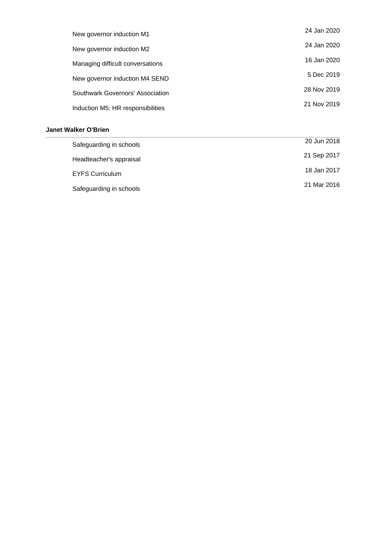| New governor induction M1         | 24 Jan 2020 |
|-----------------------------------|-------------|
| New governor induction M2         | 24 Jan 2020 |
| Managing difficult conversations  | 16 Jan 2020 |
| New governor induction M4 SEND    | 5 Dec 2019  |
| Southwark Governors' Association  | 28 Nov 2019 |
| Induction M5: HR responsibilities | 21 Nov 2019 |

# **Janet Walker O'Brien**

| Safeguarding in schools | 20 Jun 2018 |
|-------------------------|-------------|
| Headteacher's appraisal | 21 Sep 2017 |
| <b>EYFS Curriculum</b>  | 18 Jan 2017 |
| Safeguarding in schools | 21 Mar 2016 |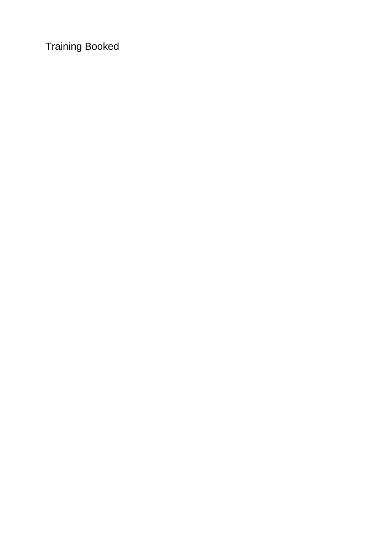Training Booked